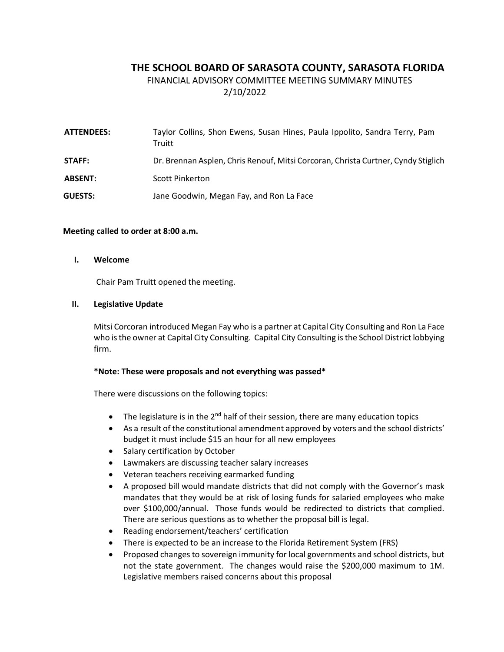# **THE SCHOOL BOARD OF SARASOTA COUNTY, SARASOTA FLORIDA**

FINANCIAL ADVISORY COMMITTEE MEETING SUMMARY MINUTES 2/10/2022

| <b>ATTENDEES:</b> | Taylor Collins, Shon Ewens, Susan Hines, Paula Ippolito, Sandra Terry, Pam<br>Truitt |
|-------------------|--------------------------------------------------------------------------------------|
| STAFF:            | Dr. Brennan Asplen, Chris Renouf, Mitsi Corcoran, Christa Curtner, Cyndy Stiglich    |
| <b>ABSENT:</b>    | Scott Pinkerton                                                                      |
| <b>GUESTS:</b>    | Jane Goodwin, Megan Fay, and Ron La Face                                             |

### **Meeting called to order at 8:00 a.m.**

#### **I. Welcome**

Chair Pam Truitt opened the meeting.

### **II. Legislative Update**

Mitsi Corcoran introduced Megan Fay who is a partner at Capital City Consulting and Ron La Face who is the owner at Capital City Consulting. Capital City Consulting is the School District lobbying firm.

### **\*Note: These were proposals and not everything was passed\***

There were discussions on the following topics:

- The legislature is in the 2<sup>nd</sup> half of their session, there are many education topics
- As a result of the constitutional amendment approved by voters and the school districts' budget it must include \$15 an hour for all new employees
- Salary certification by October
- Lawmakers are discussing teacher salary increases
- Veteran teachers receiving earmarked funding
- A proposed bill would mandate districts that did not comply with the Governor's mask mandates that they would be at risk of losing funds for salaried employees who make over \$100,000/annual. Those funds would be redirected to districts that complied. There are serious questions as to whether the proposal bill is legal.
- Reading endorsement/teachers' certification
- There is expected to be an increase to the Florida Retirement System (FRS)
- Proposed changes to sovereign immunity for local governments and school districts, but not the state government. The changes would raise the \$200,000 maximum to 1M. Legislative members raised concerns about this proposal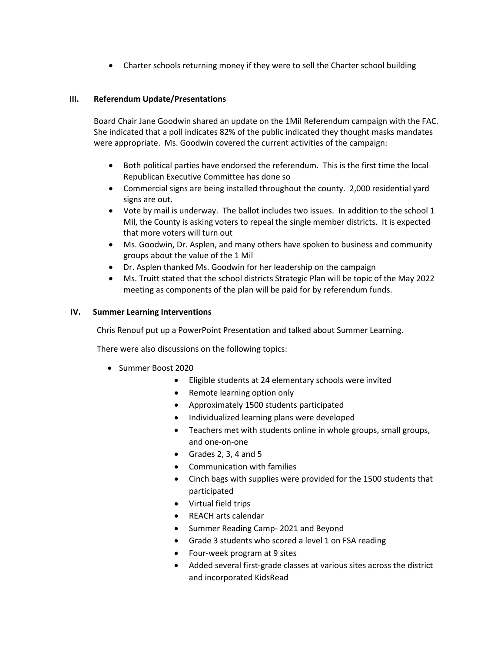• Charter schools returning money if they were to sell the Charter school building

## **III. Referendum Update/Presentations**

Board Chair Jane Goodwin shared an update on the 1Mil Referendum campaign with the FAC. She indicated that a poll indicates 82% of the public indicated they thought masks mandates were appropriate. Ms. Goodwin covered the current activities of the campaign:

- Both political parties have endorsed the referendum. This is the first time the local Republican Executive Committee has done so
- Commercial signs are being installed throughout the county. 2,000 residential yard signs are out.
- Vote by mail is underway. The ballot includes two issues. In addition to the school 1 Mil, the County is asking voters to repeal the single member districts. It is expected that more voters will turn out
- Ms. Goodwin, Dr. Asplen, and many others have spoken to business and community groups about the value of the 1 Mil
- Dr. Asplen thanked Ms. Goodwin for her leadership on the campaign
- Ms. Truitt stated that the school districts Strategic Plan will be topic of the May 2022 meeting as components of the plan will be paid for by referendum funds.

### **IV. Summer Learning Interventions**

Chris Renouf put up a PowerPoint Presentation and talked about Summer Learning.

There were also discussions on the following topics:

- Summer Boost 2020
	- Eligible students at 24 elementary schools were invited
	- Remote learning option only
	- Approximately 1500 students participated
	- Individualized learning plans were developed
	- Teachers met with students online in whole groups, small groups, and one-on-one
	- Grades 2, 3, 4 and 5
	- Communication with families
	- Cinch bags with supplies were provided for the 1500 students that participated
	- Virtual field trips
	- REACH arts calendar
	- Summer Reading Camp- 2021 and Beyond
	- Grade 3 students who scored a level 1 on FSA reading
	- Four-week program at 9 sites
	- Added several first-grade classes at various sites across the district and incorporated KidsRead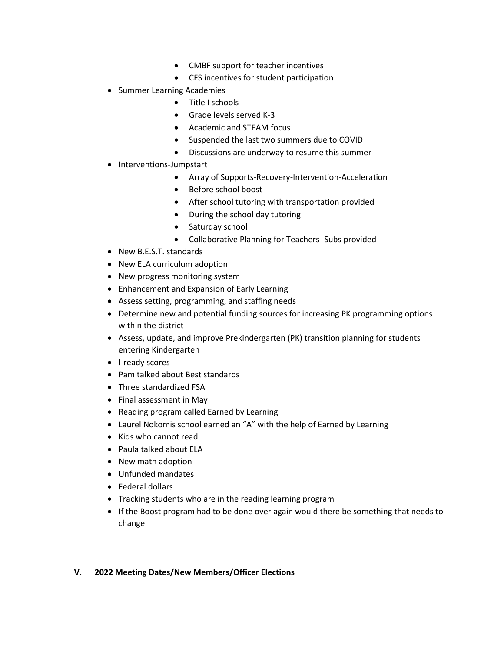- CMBF support for teacher incentives
- CFS incentives for student participation
- Summer Learning Academies
	- Title I schools
	- Grade levels served K-3
	- Academic and STEAM focus
	- Suspended the last two summers due to COVID
	- Discussions are underway to resume this summer
- Interventions-Jumpstart
	- Array of Supports-Recovery-Intervention-Acceleration
	- Before school boost
	- After school tutoring with transportation provided
	- During the school day tutoring
	- Saturday school
	- Collaborative Planning for Teachers- Subs provided
- New B.E.S.T. standards
- New ELA curriculum adoption
- New progress monitoring system
- Enhancement and Expansion of Early Learning
- Assess setting, programming, and staffing needs
- Determine new and potential funding sources for increasing PK programming options within the district
- Assess, update, and improve Prekindergarten (PK) transition planning for students entering Kindergarten
- I-ready scores
- Pam talked about Best standards
- Three standardized FSA
- Final assessment in May
- Reading program called Earned by Learning
- Laurel Nokomis school earned an "A" with the help of Earned by Learning
- Kids who cannot read
- Paula talked about ELA
- New math adoption
- Unfunded mandates
- Federal dollars
- Tracking students who are in the reading learning program
- If the Boost program had to be done over again would there be something that needs to change

### **V. 2022 Meeting Dates/New Members/Officer Elections**